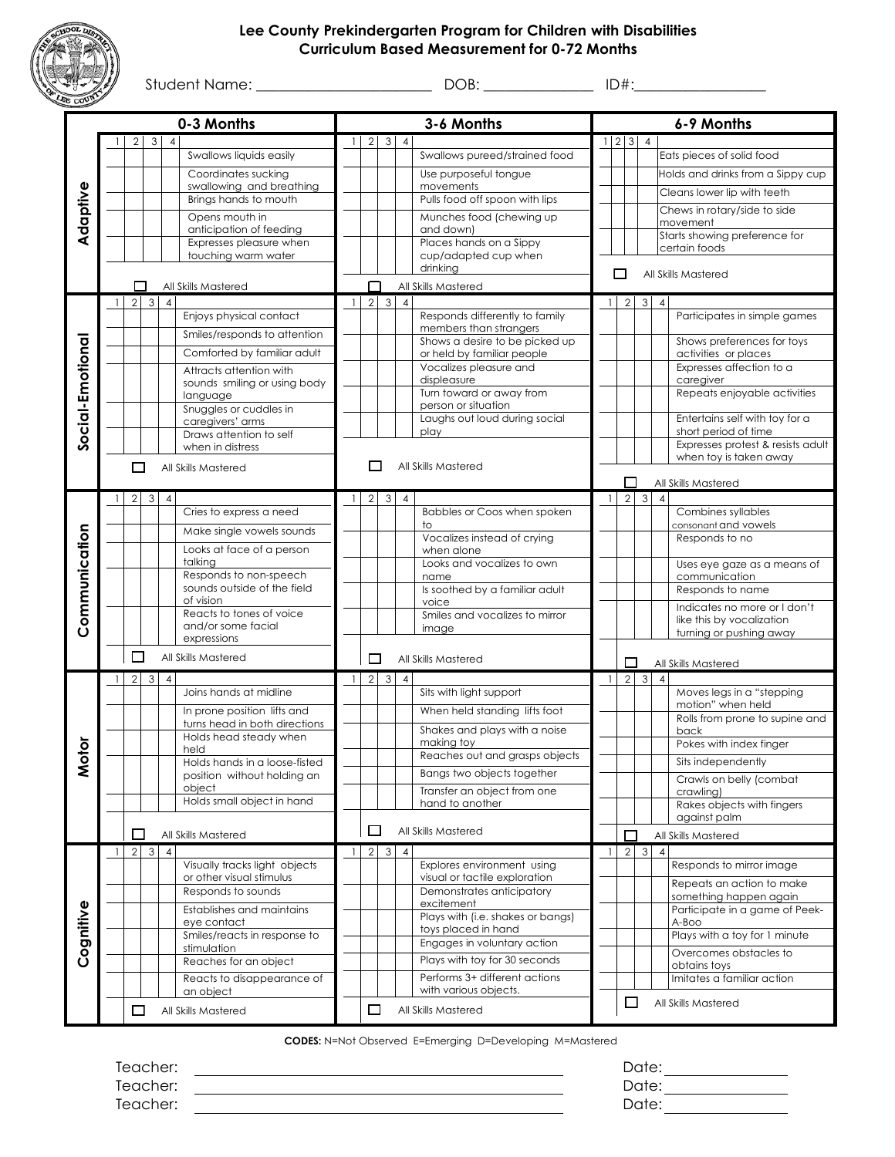## **Lee County Prekindergarten Program for Children with Disabilities Curriculum Based Measurement for 0-72 Months**



| }) | Student?<br>$\sqrt{2}$ |  | . . |
|----|------------------------|--|-----|
|----|------------------------|--|-----|

| 0-3 Months       |              |                    |                |                |                                                       |                |                |              | 3-6 Months     | 6-9 Months                                               |              |                   |                                   |                |                                                           |
|------------------|--------------|--------------------|----------------|----------------|-------------------------------------------------------|----------------|----------------|--------------|----------------|----------------------------------------------------------|--------------|-------------------|-----------------------------------|----------------|-----------------------------------------------------------|
|                  |              | $\overline{2}$     | 3 <sup>1</sup> | $\overline{4}$ |                                                       | $\overline{1}$ | $\overline{2}$ | 3            | $\overline{4}$ |                                                          |              | $1 \mid 2 \mid 3$ |                                   | $\overline{4}$ |                                                           |
|                  |              |                    |                |                | Swallows liquids easily                               |                |                |              |                | Swallows pureed/strained food                            |              |                   |                                   |                | Eats pieces of solid food                                 |
|                  |              |                    |                |                | Coordinates sucking                                   |                |                |              |                | Use purposeful tongue                                    |              |                   |                                   |                | Holds and drinks from a Sippy cup                         |
|                  |              |                    |                |                | swallowing and breathing                              |                |                |              |                | movements                                                |              |                   |                                   |                | Cleans lower lip with teeth                               |
|                  |              |                    |                |                | Brings hands to mouth                                 |                |                |              |                | Pulls food off spoon with lips                           |              |                   |                                   |                | Chews in rotary/side to side                              |
| Adaptive         |              |                    |                |                | Opens mouth in                                        |                |                |              |                | Munches food (chewing up                                 |              |                   |                                   |                | movement                                                  |
|                  |              |                    |                |                | anticipation of feeding<br>Expresses pleasure when    |                |                |              |                | and down)<br>Places hands on a Sippy                     |              |                   |                                   |                | Starts showing preference for                             |
|                  |              |                    |                |                | touching warm water                                   |                |                |              |                | cup/adapted cup when                                     |              |                   |                                   |                | certain foods                                             |
|                  |              |                    |                |                |                                                       |                |                |              |                | drinking                                                 |              |                   |                                   |                | All Skills Mastered                                       |
|                  |              |                    |                |                | All Skills Mastered                                   |                | П              |              |                | All Skills Mastered                                      |              |                   |                                   |                |                                                           |
|                  | $\mathbf{1}$ | $\overline{2}$     | $\overline{3}$ | $\overline{4}$ | Enjoys physical contact                               | $\overline{1}$ | $\overline{2}$ | $\omega$     | $\overline{4}$ |                                                          | $\mathbf{1}$ |                   | $\mathbf{2}$<br>3                 | $\overline{4}$ | Participates in simple games                              |
|                  |              |                    |                |                |                                                       |                |                |              |                | Responds differently to family<br>members than strangers |              |                   |                                   |                |                                                           |
|                  |              |                    |                |                | Smiles/responds to attention                          |                |                |              |                | Shows a desire to be picked up                           |              |                   |                                   |                | Shows preferences for toys                                |
|                  |              |                    |                |                | Comforted by familiar adult                           |                |                |              |                | or held by familiar people                               |              |                   |                                   |                | activities or places                                      |
|                  |              |                    |                |                | Attracts attention with                               |                |                |              |                | Vocalizes pleasure and<br>displeasure                    |              |                   |                                   |                | Expresses affection to a<br>caregiver                     |
|                  |              |                    |                |                | sounds smiling or using body<br>language              |                |                |              |                | Turn toward or away from                                 |              |                   |                                   |                | Repeats enjoyable activities                              |
|                  |              |                    |                |                | Snuggles or cuddles in                                |                |                |              |                | person or situation                                      |              |                   |                                   |                |                                                           |
| Social-Emotional |              |                    |                |                | caregivers' arms                                      |                |                |              |                | Laughs out loud during social<br>play                    |              |                   |                                   |                | Entertains self with toy for a<br>short period of time    |
|                  |              |                    |                |                | Draws attention to self<br>when in distress           |                |                |              |                |                                                          |              |                   |                                   |                | Expresses protest & resists adult                         |
|                  |              | □                  |                |                | All Skills Mastered                                   |                |                |              |                | All Skills Mastered                                      |              |                   |                                   |                | when toy is taken away                                    |
|                  |              |                    |                |                |                                                       |                |                |              |                |                                                          |              |                   | $\Box$                            |                | All Skills Mastered                                       |
|                  | $\mathbf{1}$ | 2 <sup>1</sup>     | $\mathbf{3}$   | $\overline{4}$ |                                                       | $\mathbf{1}$   | $\overline{2}$ | 3            | $\overline{4}$ |                                                          | $\mathbf{1}$ | $\overline{2}$    |                                   | $\mathbf{3}$   | $\overline{4}$                                            |
|                  |              |                    |                |                | Cries to express a need                               |                |                |              |                | Babbles or Coos when spoken                              |              |                   |                                   |                | Combines syllables                                        |
|                  |              |                    |                |                | Make single vowels sounds                             |                |                |              |                | to                                                       |              |                   |                                   |                | consonant and vowels                                      |
|                  |              |                    |                |                | Looks at face of a person                             |                |                |              |                | Vocalizes instead of crying<br>when alone                |              |                   |                                   |                | Responds to no                                            |
|                  |              |                    |                |                | talking                                               |                |                |              |                | Looks and vocalizes to own                               |              |                   |                                   |                | Uses eye gaze as a means of                               |
|                  |              |                    |                |                | Responds to non-speech<br>sounds outside of the field |                |                |              |                | name                                                     |              |                   |                                   |                | communication                                             |
|                  |              |                    |                |                | of vision                                             |                |                |              |                | Is soothed by a familiar adult<br>voice                  |              |                   |                                   |                | Responds to name                                          |
| Communication    |              |                    |                |                | Reacts to tones of voice                              |                |                |              |                | Smiles and vocalizes to mirror                           |              |                   |                                   |                | Indicates no more or I don't<br>like this by vocalization |
|                  |              |                    |                |                | and/or some facial<br>expressions                     |                |                |              |                | image                                                    |              |                   |                                   |                | turning or pushing away                                   |
|                  |              | П                  |                |                | All Skills Mastered                                   |                | П              |              |                | All Skills Mastered                                      |              |                   |                                   |                |                                                           |
|                  |              |                    |                |                |                                                       |                |                |              |                |                                                          |              |                   | П                                 |                | All Skills Mastered<br>$\overline{4}$                     |
|                  | $\mathbf{1}$ | 2 <sup>1</sup>     | $\mathbf{3}$   | $\overline{4}$ | Joins hands at midline                                | $\overline{1}$ | $\overline{2}$ | 3            | $\overline{4}$ | Sits with light support                                  | $\mathbf{1}$ | $\overline{2}$    | $\mathbf{3}$                      |                | Moves legs in a "stepping                                 |
|                  |              |                    |                |                | In prone position lifts and                           |                |                |              |                | When held standing lifts foot                            |              |                   |                                   |                | motion" when held                                         |
|                  |              |                    |                |                | turns head in both directions                         |                |                |              |                | Shakes and plays with a noise                            |              |                   |                                   |                | Rolls from prone to supine and                            |
|                  |              |                    |                |                | Holds head steady when                                |                |                |              |                | making toy                                               |              |                   |                                   |                | back<br>Pokes with index finger                           |
| Motor            |              |                    |                |                | held<br>Holds hands in a loose-fisted                 |                |                |              |                | Reaches out and grasps objects                           |              |                   |                                   |                | Sits independently                                        |
|                  |              |                    |                |                | position without holding an                           |                |                |              |                | Bangs two objects together                               |              |                   |                                   |                | Crawls on belly (combat                                   |
|                  |              |                    |                |                | object                                                |                |                |              |                | Transfer an object from one                              |              |                   |                                   |                | crawling)                                                 |
|                  |              |                    |                |                | Holds small object in hand                            |                |                |              |                | hand to another                                          |              |                   |                                   |                | Rakes objects with fingers                                |
|                  |              |                    |                |                |                                                       |                | □              |              |                | All Skills Mastered                                      |              |                   |                                   |                | against palm                                              |
|                  |              | $\Box$<br>$2 \mid$ | $\mathbf{3}$   | $\overline{4}$ | All Skills Mastered                                   | $\frac{1}{2}$  | 2 <sup>1</sup> | $\mathbf{3}$ | $\overline{4}$ |                                                          | $\mathbf{1}$ |                   | □<br>$\mathbf{2}$<br>$\mathbf{3}$ |                | All Skills Mastered<br>$\overline{4}$                     |
|                  | $\mathbf{1}$ |                    |                |                | Visually tracks light objects                         |                |                |              |                | Explores environment using                               |              |                   |                                   |                | Responds to mirror image                                  |
|                  |              |                    |                |                | or other visual stimulus                              |                |                |              |                | visual or tactile exploration                            |              |                   |                                   |                | Repeats an action to make                                 |
|                  |              |                    |                |                | Responds to sounds                                    |                |                |              |                | Demonstrates anticipatory<br>excitement                  |              |                   |                                   |                | something happen again                                    |
|                  |              |                    |                |                | Establishes and maintains<br>eye contact              |                |                |              |                | Plays with (i.e. shakes or bangs)                        |              |                   |                                   |                | Participate in a game of Peek-<br>A-Boo                   |
| Cognitive        |              |                    |                |                | Smiles/reacts in response to                          |                |                |              |                | toys placed in hand                                      |              |                   |                                   |                | Plays with a toy for 1 minute                             |
|                  |              |                    |                |                | stimulation                                           |                |                |              |                | Engages in voluntary action                              |              |                   |                                   |                | Overcomes obstacles to                                    |
|                  |              |                    |                |                | Reaches for an object                                 |                |                |              |                | Plays with toy for 30 seconds                            |              |                   |                                   |                | obtains toys                                              |
|                  |              |                    |                |                | Reacts to disappearance of<br>an object               |                |                |              |                | Performs 3+ different actions<br>with various objects.   |              |                   |                                   |                | Imitates a familiar action                                |
|                  |              | ⊔                  |                |                | All Skills Mastered                                   |                | □              |              |                | All Skills Mastered                                      |              |                   | □                                 |                | All Skills Mastered                                       |
|                  |              |                    |                |                |                                                       |                |                |              |                |                                                          |              |                   |                                   |                |                                                           |

**CODES:** N=Not Observed E=Emerging D=Developing M=Mastered

Teacher: Date: Teacher: Date: Teacher: Date:

| Date: |  |
|-------|--|
| Date: |  |
| Date: |  |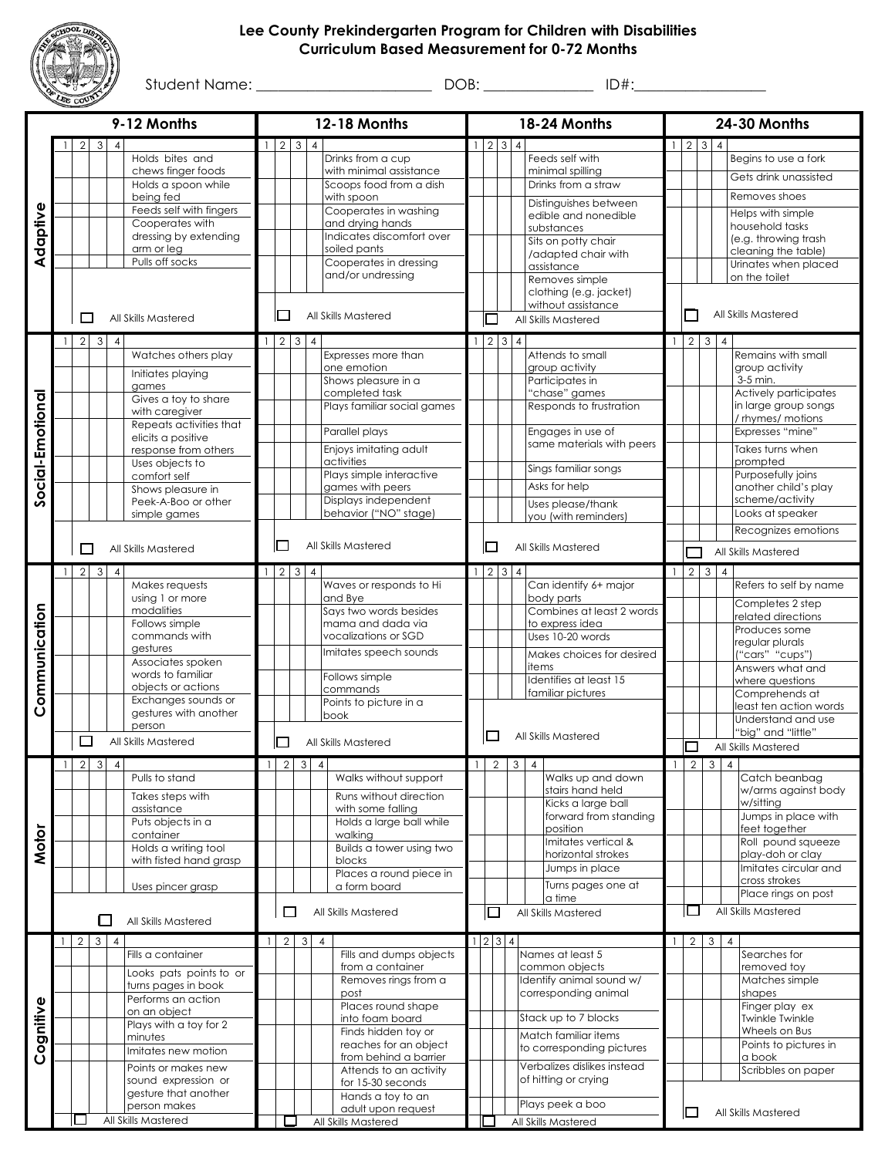

## **Lee County Prekindergarten Program for Children with Disabilities Curriculum Based Measurement for 0-72 Months**

Student Name: \_\_\_\_\_\_\_\_\_\_\_\_\_\_\_\_\_\_\_\_\_\_\_\_ DOB: \_\_\_\_\_\_\_\_\_\_\_\_\_\_\_ ID#:\_\_\_\_\_\_\_\_\_\_\_\_\_\_\_\_\_\_

|                  | 9-12 Months   |                          |              |                | 12-18 Months                                  |                               |                     |                |                            |                                               | 18-24 Months |                     |  |                |                                                   | <b>24-30 Months</b> |                     |                    |                |                                             |  |
|------------------|---------------|--------------------------|--------------|----------------|-----------------------------------------------|-------------------------------|---------------------|----------------|----------------------------|-----------------------------------------------|--------------|---------------------|--|----------------|---------------------------------------------------|---------------------|---------------------|--------------------|----------------|---------------------------------------------|--|
|                  |               | $\overline{2}$           | 3            | $\overline{4}$ |                                               |                               | $2 \mid 3 \mid 4$   |                |                            |                                               |              | $2 \mid 3 \mid 4$   |  |                |                                                   |                     |                     |                    | $\overline{4}$ |                                             |  |
|                  |               |                          |              |                | Holds bites and                               |                               |                     |                |                            | Drinks from a cup                             |              |                     |  |                | Feeds self with                                   |                     |                     |                    |                | Begins to use a fork                        |  |
|                  |               |                          |              |                | chews finger foods                            |                               |                     |                |                            | with minimal assistance                       |              |                     |  |                | minimal spilling                                  |                     |                     |                    |                | Gets drink unassisted                       |  |
|                  |               |                          |              |                | Holds a spoon while<br>being fed              |                               |                     |                |                            | Scoops food from a dish<br>with spoon         |              |                     |  |                | Drinks from a straw                               |                     |                     |                    |                | Removes shoes                               |  |
|                  |               |                          |              |                | Feeds self with fingers                       |                               |                     |                |                            | Cooperates in washing                         |              |                     |  |                | Distinguishes between                             |                     |                     |                    |                | Helps with simple                           |  |
| Adaptive         |               |                          |              |                | Cooperates with                               |                               |                     |                |                            | and drying hands                              |              |                     |  |                | edible and nonedible<br>substances                |                     |                     |                    |                | household tasks                             |  |
|                  |               |                          |              |                | dressing by extending                         |                               |                     |                |                            | Indicates discomfort over                     |              |                     |  |                | Sits on potty chair                               |                     |                     |                    |                | (e.g. throwing trash                        |  |
|                  |               |                          |              |                | arm or leg<br>Pulls off socks                 |                               |                     |                |                            | soiled pants<br>Cooperates in dressing        |              |                     |  |                | /adapted chair with                               |                     |                     |                    |                | cleaning the table)<br>Urinates when placed |  |
|                  |               |                          |              |                |                                               |                               |                     |                |                            | and/or undressing                             |              |                     |  |                | assistance<br>Removes simple                      |                     |                     |                    |                | on the toilet                               |  |
|                  |               |                          |              |                |                                               |                               |                     |                |                            |                                               |              |                     |  |                | clothing (e.g. jacket)                            |                     |                     |                    |                |                                             |  |
|                  |               |                          |              |                |                                               |                               |                     |                |                            |                                               |              |                     |  |                | without assistance                                |                     |                     |                    |                | All Skills Mastered                         |  |
|                  |               | П                        |              |                | All Skills Mastered                           | $\Box$<br>All Skills Mastered |                     |                |                            |                                               |              |                     |  |                | All Skills Mastered                               |                     |                     |                    |                |                                             |  |
|                  | $\mathbf{1}$  | $2 \mid 3$               |              | $\overline{4}$ | Watches others play                           | $\frac{1}{2}$                 | $2 \quad 3 \quad 4$ |                |                            | Expresses more than                           |              | $1 \mid 2 \mid 3$   |  | $\overline{4}$ | Attends to small                                  |                     | $1 \quad 2$         | 3 <sup>1</sup>     | $\overline{4}$ | Remains with small                          |  |
|                  |               |                          |              |                |                                               |                               |                     |                |                            | one emotion                                   |              |                     |  |                | group activity                                    |                     |                     |                    |                | group activity                              |  |
|                  |               |                          |              |                | Initiates playing<br>games                    |                               |                     |                |                            | Shows pleasure in a                           |              |                     |  |                | Participates in                                   |                     |                     |                    |                | 3-5 min.                                    |  |
|                  |               |                          |              |                | Gives a toy to share                          |                               |                     |                |                            | completed task                                |              |                     |  |                | "chase" games                                     |                     |                     |                    |                | Actively participates                       |  |
|                  |               |                          |              |                | with caregiver                                |                               |                     |                |                            | Plays familiar social games                   |              |                     |  |                | Responds to frustration                           |                     |                     |                    |                | in large group songs<br>/ rhymes/ motions   |  |
|                  |               |                          |              |                | Repeats activities that<br>elicits a positive |                               |                     |                |                            | Parallel plays                                |              |                     |  |                | Engages in use of                                 |                     |                     |                    |                | Expresses "mine"                            |  |
|                  |               |                          |              |                | response from others                          |                               |                     |                |                            | Enjoys imitating adult                        |              |                     |  |                | same materials with peers                         |                     |                     |                    |                | Takes turns when                            |  |
|                  |               |                          |              |                | Uses objects to                               |                               |                     |                |                            | activities                                    |              |                     |  |                | Sings familiar songs                              |                     |                     |                    |                | prompted                                    |  |
| Social-Emotional |               |                          |              |                | comfort self<br>Shows pleasure in             |                               |                     |                |                            | Plays simple interactive<br>games with peers  |              |                     |  |                | Asks for help                                     |                     |                     |                    |                | Purposefully joins<br>another child's play  |  |
|                  |               |                          |              |                | Peek-A-Boo or other                           |                               |                     |                |                            | Displays independent                          |              |                     |  |                | Uses please/thank                                 |                     |                     |                    |                | scheme/activity                             |  |
|                  |               |                          |              |                | simple games                                  |                               |                     |                |                            | behavior ("NO" stage)                         |              |                     |  |                | you (with reminders)                              |                     |                     |                    |                | Looks at speaker                            |  |
|                  |               |                          |              |                |                                               |                               |                     |                |                            |                                               |              |                     |  |                |                                                   |                     |                     |                    |                | Recognizes emotions                         |  |
|                  |               | П                        |              |                | All Skills Mastered                           |                               |                     |                | All Skills Mastered<br>I I |                                               |              |                     |  |                | All Skills Mastered                               | All Skills Mastered |                     |                    |                |                                             |  |
|                  | $\mathbf{1}$  | $\overline{2}$           | 3            | $\overline{4}$ |                                               |                               | $2 \quad 3 \quad 4$ |                |                            |                                               |              | $2 \quad 3 \quad 4$ |  |                |                                                   | $\mathbf{1}$        |                     | $2 \overline{3}$ 4 |                |                                             |  |
|                  |               |                          |              |                | Makes requests                                |                               |                     |                |                            | Waves or responds to Hi                       |              |                     |  |                | Can identify 6+ major                             |                     |                     |                    |                | Refers to self by name                      |  |
|                  |               |                          |              |                | using 1 or more<br>modalities                 |                               |                     |                |                            | and Bye<br>Says two words besides             |              |                     |  |                | body parts<br>Combines at least 2 words           |                     |                     |                    |                | Completes 2 step                            |  |
|                  |               |                          |              |                | Follows simple                                |                               |                     |                |                            | mama and dada via                             |              |                     |  |                | to express idea                                   |                     |                     |                    |                | related directions<br>Produces some         |  |
|                  |               |                          |              |                | commands with                                 |                               |                     |                |                            | vocalizations or SGD                          |              |                     |  |                | Uses 10-20 words                                  |                     |                     |                    |                | regular plurals                             |  |
|                  |               |                          |              |                | gestures<br>Associates spoken                 |                               |                     |                |                            | Imitates speech sounds                        |              |                     |  |                | Makes choices for desired                         |                     |                     |                    |                | ("cars" "cups")                             |  |
|                  |               |                          |              |                | words to familiar                             |                               |                     |                |                            | Follows simple                                |              |                     |  |                | items<br>Identifies at least 15                   |                     |                     |                    |                | Answers what and<br>where questions         |  |
| Communication    |               |                          |              |                | objects or actions                            |                               |                     |                |                            | commands                                      |              |                     |  |                | familiar pictures                                 |                     |                     |                    |                | Comprehends at                              |  |
|                  |               |                          |              |                | Exchanges sounds or<br>gestures with another  |                               |                     |                |                            | Points to picture in a<br>book                |              |                     |  |                |                                                   |                     |                     |                    |                | least ten action words                      |  |
|                  |               |                          |              |                | person                                        |                               |                     |                |                            |                                               |              |                     |  |                |                                                   |                     |                     |                    |                | Understand and use<br>"big" and "little"    |  |
|                  |               | $\overline{\phantom{a}}$ |              |                | All Skills Mastered                           |                               | ⊔                   |                |                            | All Skills Mastered                           |              | $\mathbf{r}$        |  |                | All Skills Mastered                               |                     | All Skills Mastered |                    |                |                                             |  |
|                  |               | 21                       | $3 \mid 4$   |                |                                               |                               | 2 I                 | 3              | $\overline{4}$             |                                               |              |                     |  | 2 3 4          |                                                   |                     |                     | 1 2 3 4            |                |                                             |  |
|                  |               |                          |              |                | Pulls to stand                                |                               |                     |                |                            | Walks without support                         |              |                     |  |                | Walks up and down                                 |                     |                     |                    |                | Catch beanbag                               |  |
|                  |               |                          |              |                | Takes steps with                              |                               |                     |                |                            | Runs without direction                        |              |                     |  |                | stairs hand held<br>Kicks a large ball            |                     |                     |                    |                | w/arms against body<br>w/sitting            |  |
|                  |               |                          |              |                | assistance<br>Puts objects in a               |                               |                     |                |                            | with some falling<br>Holds a large ball while |              |                     |  |                | forward from standing                             |                     |                     |                    |                | Jumps in place with                         |  |
|                  |               |                          |              |                | container                                     |                               |                     |                |                            | walking                                       |              |                     |  |                | position                                          |                     |                     |                    |                | feet together                               |  |
| <b>Motor</b>     |               |                          |              |                | Holds a writing tool                          |                               |                     |                |                            | Builds a tower using two                      |              |                     |  |                | Imitates vertical &<br>horizontal strokes         |                     |                     |                    |                | Roll pound squeeze<br>play-doh or clay      |  |
|                  |               |                          |              |                | with fisted hand grasp                        |                               |                     |                |                            | blocks<br>Places a round piece in             |              |                     |  |                | Jumps in place                                    |                     |                     |                    |                | Imitates circular and                       |  |
|                  |               |                          |              |                | Uses pincer grasp                             |                               |                     |                |                            | a form board                                  |              |                     |  |                | Turns pages one at                                |                     |                     |                    |                | cross strokes                               |  |
|                  |               |                          |              |                |                                               |                               |                     |                |                            |                                               |              |                     |  |                | a time                                            |                     |                     |                    |                | Place rings on post                         |  |
|                  |               |                          | П            |                | All Skills Mastered                           |                               | $\Box$              |                |                            | All Skills Mastered                           |              | $\Box$              |  |                | All Skills Mastered                               |                     | ப                   |                    |                | All Skills Mastered                         |  |
|                  | $\frac{1}{2}$ | $\overline{2}$           | $\mathbf{3}$ | $\overline{4}$ |                                               |                               | $\overline{2}$      | 3 <sup>1</sup> | $\overline{4}$             |                                               |              | 1 2 3 4             |  |                |                                                   |                     | $2^{\circ}$         | 3 <sup>1</sup>     | $\overline{4}$ |                                             |  |
|                  |               |                          |              |                | Fills a container                             |                               |                     |                |                            | Fills and dumps objects                       |              |                     |  |                | Names at least 5                                  |                     |                     |                    |                | Searches for                                |  |
|                  |               |                          |              |                | Looks pats points to or                       |                               |                     |                |                            | from a container<br>Removes rings from a      |              |                     |  |                | common objects<br>Identify animal sound w/        |                     |                     |                    |                | removed toy<br>Matches simple               |  |
|                  |               |                          |              |                | turns pages in book<br>Performs an action     |                               |                     |                |                            | post                                          |              |                     |  |                | corresponding animal                              |                     |                     |                    |                | shapes                                      |  |
|                  |               |                          |              |                | on an object                                  |                               |                     |                |                            | Places round shape                            |              |                     |  |                |                                                   |                     |                     |                    |                | Finger play ex                              |  |
|                  |               |                          |              |                | Plays with a toy for 2                        |                               |                     |                |                            | into foam board<br>Finds hidden toy or        |              |                     |  |                | Stack up to 7 blocks                              |                     |                     |                    |                | <b>Twinkle Twinkle</b><br>Wheels on Bus     |  |
| Cognitive        |               |                          |              |                | minutes                                       |                               |                     |                |                            | reaches for an object                         |              |                     |  |                | Match familiar items<br>to corresponding pictures |                     |                     |                    |                | Points to pictures in                       |  |
|                  |               |                          |              |                | Imitates new motion                           |                               |                     |                |                            | from behind a barrier                         |              |                     |  |                | Verbalizes dislikes instead                       |                     |                     |                    |                | a book                                      |  |
|                  |               |                          |              |                | Points or makes new<br>sound expression or    |                               |                     |                |                            | Attends to an activity<br>for 15-30 seconds   |              |                     |  |                | of hitting or crying                              |                     |                     |                    |                | Scribbles on paper                          |  |
|                  |               |                          |              |                | gesture that another                          |                               |                     |                |                            | Hands a toy to an                             |              |                     |  |                |                                                   |                     |                     |                    |                |                                             |  |
|                  |               |                          |              |                | person makes                                  |                               |                     |                |                            | adult upon request                            |              |                     |  |                | Plays peek a boo                                  |                     | ப                   |                    |                | All Skills Mastered                         |  |
|                  |               |                          |              |                | All Skills Mastered                           |                               |                     |                |                            | All Skills Mastered                           |              |                     |  |                | All Skills Mastered                               |                     |                     |                    |                |                                             |  |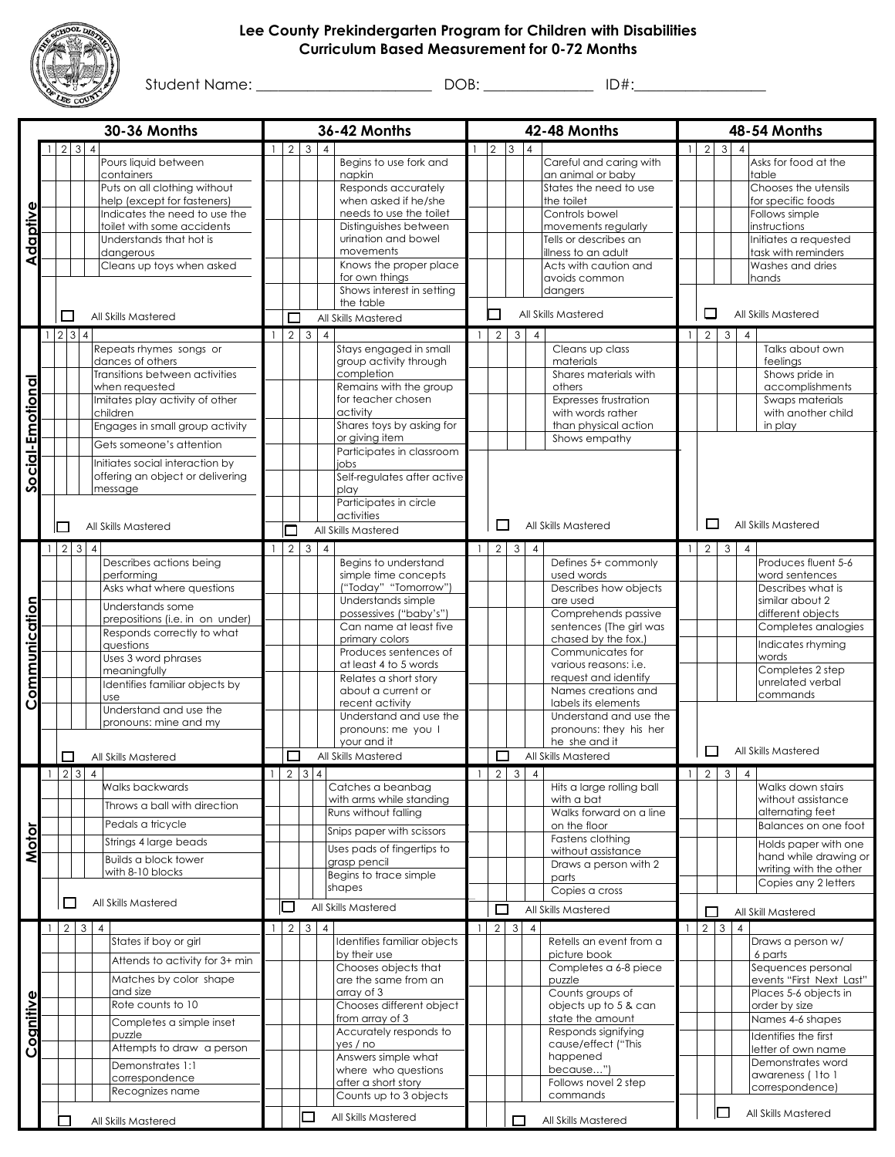

## **Lee County Prekindergarten Program for Children with Disabilities Curriculum Based Measurement for 0-72 Months**

Student Name: \_\_\_\_\_\_\_\_\_\_\_\_\_\_\_\_\_\_\_\_\_\_\_\_ DOB: \_\_\_\_\_\_\_\_\_\_\_\_\_\_\_ ID#:\_\_\_\_\_\_\_\_\_\_\_\_\_\_\_\_\_\_

| 30-36 Months     |                |                             |                |                                                               | 36-42 Months             |                          |                  |                |                                                |                               | 42-48 Months    |                             |                |                                             |                               |                   | 48-54 Months   |                |                                                |  |  |
|------------------|----------------|-----------------------------|----------------|---------------------------------------------------------------|--------------------------|--------------------------|------------------|----------------|------------------------------------------------|-------------------------------|-----------------|-----------------------------|----------------|---------------------------------------------|-------------------------------|-------------------|----------------|----------------|------------------------------------------------|--|--|
|                  |                | 3<br>$\overline{2}$         | $\overline{4}$ |                                                               |                          |                          | $2 \overline{3}$ | $\overline{4}$ |                                                |                               | $\overline{2}$  | $\vert$ <sub>3</sub>        | $\overline{4}$ |                                             | $\mathbf{1}$                  | $\overline{2}$    | $\mathbf{3}$   | $\Delta$       |                                                |  |  |
|                  |                |                             |                | Pours liquid between                                          |                          |                          |                  |                | Begins to use fork and                         |                               |                 |                             |                | Careful and caring with                     |                               |                   |                |                | Asks for food at the                           |  |  |
|                  |                |                             |                | containers<br>Puts on all clothing without                    |                          |                          |                  |                | napkin<br>Responds accurately                  |                               |                 |                             |                | an animal or baby<br>States the need to use |                               |                   |                |                | table<br>Chooses the utensils                  |  |  |
|                  |                |                             |                | help (except for fasteners)                                   |                          |                          |                  |                | when asked if he/she                           |                               |                 |                             |                | the toilet                                  |                               |                   |                |                | for specific foods                             |  |  |
| Adaptive         |                |                             |                | Indicates the need to use the                                 |                          |                          |                  |                | needs to use the toilet                        |                               |                 |                             |                | Controls bowel                              |                               |                   |                |                | Follows simple                                 |  |  |
|                  |                |                             |                | toilet with some accidents                                    |                          |                          |                  |                | Distinguishes between                          |                               |                 |                             |                | movements regularly                         |                               |                   |                |                | instructions                                   |  |  |
|                  |                |                             |                | Understands that hot is                                       |                          |                          |                  |                | urination and bowel                            |                               |                 |                             |                | Tells or describes an                       |                               |                   |                |                | Initiates a requested                          |  |  |
|                  |                |                             |                | dangerous                                                     |                          |                          |                  |                | movements<br>Knows the proper place            |                               |                 |                             |                | illness to an adult                         |                               |                   |                |                | task with reminders<br>Washes and dries        |  |  |
|                  |                |                             |                | Cleans up toys when asked                                     |                          |                          |                  |                | for own things                                 |                               |                 |                             |                | Acts with caution and<br>avoids common      |                               |                   |                |                | hands                                          |  |  |
|                  |                |                             |                |                                                               |                          |                          |                  |                | Shows interest in setting                      |                               |                 |                             |                | dangers                                     |                               |                   |                |                |                                                |  |  |
|                  |                |                             |                |                                                               |                          |                          |                  |                | the table                                      |                               |                 |                             |                |                                             |                               | □                 |                |                |                                                |  |  |
|                  |                | □                           |                | All Skills Mastered                                           |                          | $\Box$                   |                  |                | All Skills Mastered                            |                               | П               |                             |                | All Skills Mastered                         |                               |                   |                |                | All Skills Mastered                            |  |  |
|                  |                | $234$                       |                |                                                               |                          | $2 \overline{3}$         |                  | $\overline{4}$ |                                                |                               | $1 \mid 2 \mid$ | 3 <sup>1</sup>              | $\overline{4}$ |                                             | $\mathbf{1}$                  | $2^{\circ}$       | $\mathbf{3}$   | $\overline{4}$ |                                                |  |  |
|                  |                |                             |                | Repeats rhymes songs or                                       |                          |                          |                  |                | Stays engaged in small                         |                               |                 |                             |                | Cleans up class                             |                               |                   |                |                | Talks about own                                |  |  |
|                  |                |                             |                | dances of others                                              |                          |                          |                  |                | group activity through                         |                               |                 |                             |                | materials                                   |                               |                   |                |                | feelings                                       |  |  |
|                  |                |                             |                | Transitions between activities<br>when requested              |                          |                          |                  |                | completion<br>Remains with the group           |                               |                 |                             |                | Shares materials with<br>others             |                               |                   |                |                | Shows pride in<br>accomplishments              |  |  |
|                  |                |                             |                | Imitates play activity of other                               |                          |                          |                  |                | for teacher chosen                             |                               |                 |                             |                | Expresses frustration                       |                               |                   |                |                | Swaps materials                                |  |  |
|                  |                |                             |                | children                                                      |                          |                          |                  |                | activity                                       |                               |                 |                             |                | with words rather                           |                               |                   |                |                | with another child                             |  |  |
|                  |                |                             |                | Engages in small group activity                               |                          |                          |                  |                | Shares toys by asking for                      |                               |                 |                             |                | than physical action                        |                               |                   |                |                | in play                                        |  |  |
| Social-Emotional |                |                             |                | Gets someone's attention                                      |                          |                          |                  |                | or giving item                                 |                               |                 |                             |                | Shows empathy                               |                               |                   |                |                |                                                |  |  |
|                  |                |                             |                | Initiates social interaction by                               |                          |                          |                  |                | Participates in classroom<br>iobs              |                               |                 |                             |                |                                             |                               |                   |                |                |                                                |  |  |
|                  |                |                             |                | offering an object or delivering                              |                          |                          |                  |                | Self-regulates after active                    |                               |                 |                             |                |                                             |                               |                   |                |                |                                                |  |  |
|                  |                |                             |                | message                                                       |                          |                          |                  |                | play                                           |                               |                 |                             |                |                                             |                               |                   |                |                |                                                |  |  |
|                  |                |                             |                |                                                               |                          |                          |                  |                | Participates in circle                         |                               |                 |                             |                |                                             |                               |                   |                |                |                                                |  |  |
|                  |                |                             |                |                                                               |                          |                          |                  |                | activities                                     |                               | □               |                             |                | All Skills Mastered                         |                               | $\Box$            |                |                | All Skills Mastered                            |  |  |
|                  |                | $\Box$                      |                | All Skills Mastered                                           |                          | $\Box$                   |                  |                | All Skills Mastered                            |                               |                 |                             |                |                                             |                               |                   |                |                |                                                |  |  |
|                  | $\overline{1}$ | $2 \overline{3}$            | $\overline{4}$ |                                                               |                          |                          | $2 \mid 3 \mid$  | $\overline{4}$ |                                                | $\mathbf{1}$                  | 2               | 3                           | $\overline{4}$ |                                             | $\mathbf{1}$                  | 2                 | $\mathbf{3}$   | $\overline{4}$ |                                                |  |  |
|                  |                |                             |                | Describes actions being                                       |                          |                          |                  |                | Begins to understand                           |                               |                 |                             |                | Defines 5+ commonly                         |                               |                   |                |                | Produces fluent 5-6                            |  |  |
|                  |                |                             |                | performing<br>Asks what where questions                       |                          |                          |                  |                | simple time concepts<br>("Today" "Tomorrow")   |                               |                 |                             |                | used words<br>Describes how objects         |                               |                   |                |                | word sentences<br>Describes what is            |  |  |
|                  |                |                             |                |                                                               |                          |                          |                  |                | Understands simple                             |                               |                 |                             |                | are used                                    |                               |                   |                |                | similar about 2                                |  |  |
|                  |                |                             |                | Understands some                                              |                          |                          |                  |                | possessives ("baby's")                         |                               |                 |                             |                | Comprehends passive                         |                               |                   |                |                | different objects                              |  |  |
| Communication    |                |                             |                | prepositions (i.e. in on under)<br>Responds correctly to what |                          |                          |                  |                | Can name at least five                         |                               |                 |                             |                | sentences (The girl was                     |                               |                   |                |                | Completes analogies                            |  |  |
|                  |                |                             |                | questions                                                     |                          |                          |                  |                | primary colors                                 |                               |                 |                             |                | chased by the fox.)                         |                               |                   |                |                | Indicates rhyming                              |  |  |
|                  |                |                             |                | Uses 3 word phrases                                           |                          |                          |                  |                | Produces sentences of<br>at least 4 to 5 words |                               |                 |                             |                | Communicates for<br>various reasons: i.e.   |                               |                   |                |                | words                                          |  |  |
|                  |                |                             |                | meaningfully                                                  |                          |                          |                  |                | Relates a short story                          |                               |                 |                             |                | request and identify                        |                               |                   |                |                | Completes 2 step                               |  |  |
|                  |                |                             |                | Identifies familiar objects by<br><b>use</b>                  |                          |                          |                  |                | about a current or                             |                               |                 |                             |                | Names creations and                         |                               |                   |                |                | unrelated verbal<br>commands                   |  |  |
|                  |                |                             |                | Understand and use the                                        |                          |                          |                  |                | recent activity                                |                               |                 |                             |                | labels its elements                         |                               |                   |                |                |                                                |  |  |
|                  |                |                             |                | pronouns: mine and my                                         |                          |                          |                  |                | Understand and use the                         |                               |                 |                             |                | Understand and use the                      |                               |                   |                |                |                                                |  |  |
|                  |                |                             |                |                                                               |                          |                          |                  |                | pronouns: me you I<br>your and it              |                               |                 |                             |                | pronouns: they his her<br>he she and it     |                               |                   |                |                |                                                |  |  |
|                  |                | $\Box$                      |                | All Skills Mastered                                           | □<br>All Skills Mastered |                          |                  |                |                                                | $\Box$<br>All Skills Mastered |                 |                             |                |                                             | $\Box$<br>All Skills Mastered |                   |                |                |                                                |  |  |
|                  |                | $1 \quad 2 \quad 3 \quad 4$ |                |                                                               |                          | $2 \mid 3 \mid 4$        |                  |                |                                                |                               |                 | $1 \quad 2 \quad 3 \quad 4$ |                |                                             |                               | $1 \mid 2 \mid 3$ |                | $\overline{4}$ |                                                |  |  |
|                  |                |                             |                | Walks backwards                                               |                          |                          |                  |                | Catches a beanbag                              |                               |                 |                             |                | Hits a large rolling ball                   |                               |                   |                |                | Walks down stairs                              |  |  |
|                  |                |                             |                | Throws a ball with direction                                  |                          |                          |                  |                | with arms while standing                       |                               |                 |                             |                | with a bat                                  |                               |                   |                |                | without assistance                             |  |  |
|                  |                |                             |                |                                                               |                          |                          |                  |                | Runs without falling                           |                               |                 |                             |                | Walks forward on a line                     |                               |                   |                |                | alternating feet                               |  |  |
|                  |                |                             |                | Pedals a tricycle                                             |                          |                          |                  |                | Snips paper with scissors                      |                               |                 |                             |                | on the floor                                |                               |                   |                |                | Balances on one foot                           |  |  |
| <b>Motor</b>     |                |                             |                | Strings 4 large beads                                         |                          |                          |                  |                | Uses pads of fingertips to                     |                               |                 |                             |                | Fastens clothing<br>without assistance      |                               |                   |                |                | Holds paper with one                           |  |  |
|                  |                |                             |                | <b>Builds a block tower</b>                                   |                          |                          |                  |                | grasp pencil                                   |                               |                 |                             |                | Draws a person with 2                       |                               |                   |                |                | hand while drawing or                          |  |  |
|                  |                |                             |                | with 8-10 blocks                                              |                          |                          |                  |                | Begins to trace simple                         |                               |                 |                             |                | parts                                       |                               |                   |                |                | writing with the other<br>Copies any 2 letters |  |  |
|                  |                |                             |                |                                                               |                          |                          |                  |                | shapes                                         |                               |                 |                             |                | Copies a cross                              |                               |                   |                |                |                                                |  |  |
|                  |                | $\Box$                      |                | All Skills Mastered                                           |                          | $\overline{\phantom{a}}$ |                  |                | All Skills Mastered                            |                               | $\Box$          |                             |                | All Skills Mastered                         |                               | $\Box$            |                |                | All Skill Mastered                             |  |  |
|                  |                | $2 \overline{3}$            |                | $\overline{\mathcal{A}}$                                      |                          | $2 \quad 3 \quad 4$      |                  |                |                                                |                               |                 | $2 \overline{3}$            | $\overline{4}$ |                                             |                               | $2 \mid 3$        |                | $\overline{4}$ |                                                |  |  |
|                  |                |                             |                | States if boy or girl                                         |                          |                          |                  |                | Identifies familiar objects                    |                               |                 |                             |                | Retells an event from a                     |                               |                   |                |                | Draws a person w/                              |  |  |
|                  |                |                             |                | Attends to activity for 3+ min                                |                          |                          |                  |                | by their use                                   |                               |                 |                             |                | picture book                                |                               |                   |                |                | 6 parts                                        |  |  |
|                  |                |                             |                |                                                               |                          |                          |                  |                | Chooses objects that                           |                               |                 |                             |                | Completes a 6-8 piece                       |                               |                   |                |                | Sequences personal                             |  |  |
|                  |                |                             |                | Matches by color shape<br>and size                            |                          |                          |                  |                | are the same from an<br>array of 3             |                               |                 |                             |                | puzzle<br>Counts groups of                  |                               |                   |                |                | events "First Next Last"                       |  |  |
|                  |                |                             |                | Rote counts to 10                                             |                          |                          |                  |                | Chooses different object                       |                               |                 |                             |                | objects up to 5 & can                       |                               |                   |                |                | Places 5-6 objects in<br>order by size         |  |  |
|                  |                |                             |                | Completes a simple inset                                      |                          |                          |                  |                | from array of 3                                |                               |                 |                             |                | state the amount                            |                               |                   |                |                | Names 4-6 shapes                               |  |  |
| Cognitive        |                |                             |                | puzzle                                                        |                          |                          |                  |                | Accurately responds to                         |                               |                 |                             |                | Responds signifying                         |                               |                   |                |                | Identifies the first                           |  |  |
|                  |                |                             |                | Attempts to draw a person                                     |                          |                          |                  |                | yes / no                                       |                               |                 |                             |                | cause/effect ("This                         |                               |                   |                |                | letter of own name                             |  |  |
|                  |                |                             |                | Demonstrates 1:1                                              |                          |                          |                  |                | Answers simple what                            |                               |                 |                             |                | happened                                    |                               |                   |                |                | Demonstrates word                              |  |  |
|                  |                |                             |                | correspondence                                                |                          |                          |                  |                | where who questions<br>after a short story     |                               |                 |                             |                | because")<br>Follows novel 2 step           |                               |                   |                |                | awareness (1to 1                               |  |  |
|                  |                |                             |                | Recognizes name                                               |                          |                          |                  |                | Counts up to 3 objects                         |                               |                 |                             |                | commands                                    |                               |                   |                |                | correspondence)                                |  |  |
|                  |                |                             |                |                                                               |                          |                          |                  |                |                                                |                               |                 |                             |                |                                             |                               |                   | $\blacksquare$ |                | All Skills Mastered                            |  |  |
|                  |                |                             |                | All Skills Mastered                                           |                          |                          |                  |                | All Skills Mastered                            |                               |                 |                             |                | All Skills Mastered                         |                               |                   |                |                |                                                |  |  |